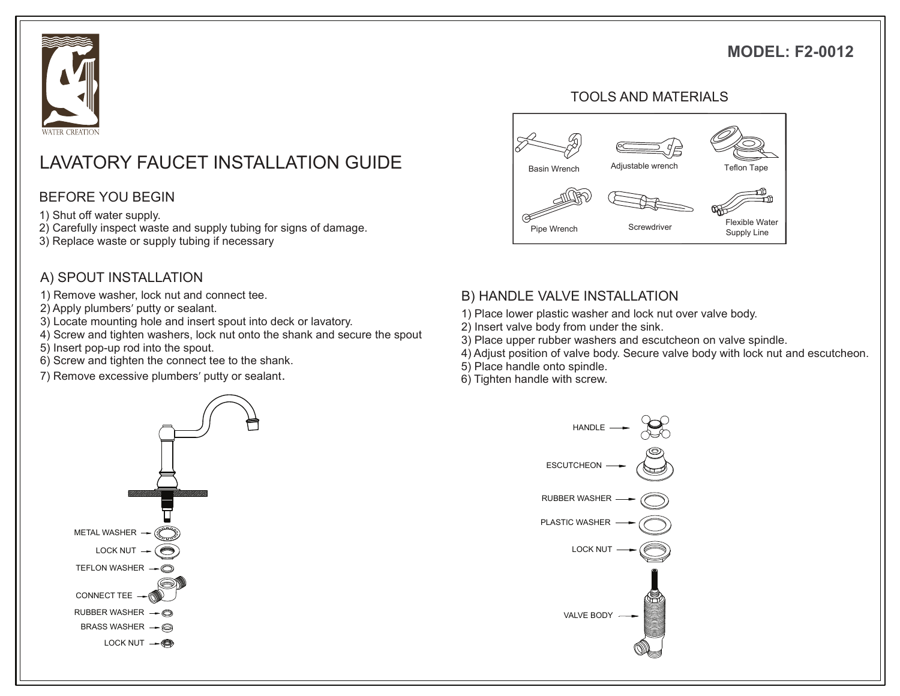# **MODEL: F2-0012**



# LAVATORY FAUCET INSTALLATION GUIDE Rasin Wrench Adjustable wrench Teflon Tape

#### BEFORE YOU BEGIN

1) Shut off water supply.

- 2) Carefully inspect waste and supply tubing for signs of damage.
- 3) Replace waste or supply tubing if necessary

### A) SPOUT INSTALLATION

- 1) Remove washer, lock nut and connect tee.
- 2) Apply plumbers' putty or sealant.
- 3) Locate mounting hole and insert spout into deck or lavatory.
- 4) Screw and tighten washers, lock nut onto the shank and secure the spout
- 5) Insert pop-up rod into the spout.
- 6) Screw and tighten the connect tee to the shank.
- 7) Remove excessive plumbers' putty or sealant.



#### TOOLS AND MATERIALS



#### B) HANDLE VALVE INSTALLATION

- 1) Place lower plastic washer and lock nut over valve body.
- 2) Insert valve body from under the sink.
- 3) Place upper rubber washers and escutcheon on valve spindle.
- 4) Adjust position of valve body. Secure valve body with lock nut and escutcheon.
- 5) Place handle onto spindle.
- 6) Tighten handle with screw.